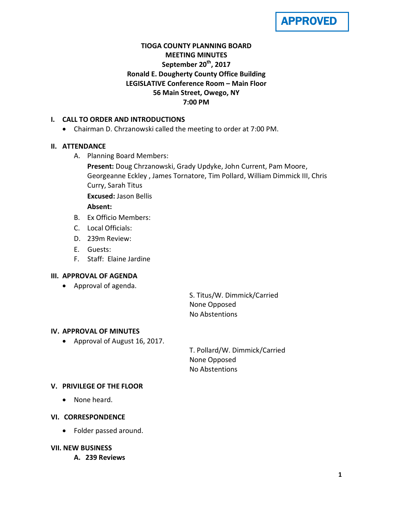

# **TIOGA COUNTY PLANNING BOARD MEETING MINUTES September 20th, 2017 Ronald E. Dougherty County Office Building LEGISLATIVE Conference Room – Main Floor 56 Main Street, Owego, NY 7:00 PM**

## **I. CALL TO ORDER AND INTRODUCTIONS**

• Chairman D. Chrzanowski called the meeting to order at 7:00 PM.

## **II. ATTENDANCE**

- A. Planning Board Members:
	- **Present:** Doug Chrzanowski, Grady Updyke, John Current, Pam Moore, Georgeanne Eckley , James Tornatore, Tim Pollard, William Dimmick III, Chris Curry, Sarah Titus

**Excused:** Jason Bellis

## **Absent:**

- B. Ex Officio Members:
- C. Local Officials:
- D. 239m Review:
- E. Guests:
- F. Staff: Elaine Jardine

## **III. APPROVAL OF AGENDA**

• Approval of agenda.

S. Titus/W. Dimmick/Carried None Opposed No Abstentions

## **IV. APPROVAL OF MINUTES**

• Approval of August 16, 2017.

T. Pollard/W. Dimmick/Carried None Opposed No Abstentions

# **V. PRIVILEGE OF THE FLOOR**

• None heard.

## **VI. CORRESPONDENCE**

• Folder passed around.

## **VII. NEW BUSINESS**

**A. 239 Reviews**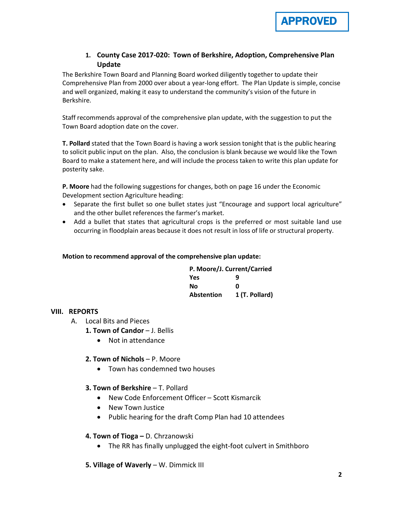

# **1. County Case 2017-020: Town of Berkshire, Adoption, Comprehensive Plan Update**

The Berkshire Town Board and Planning Board worked diligently together to update their Comprehensive Plan from 2000 over about a year-long effort. The Plan Update is simple, concise and well organized, making it easy to understand the community's vision of the future in Berkshire.

Staff recommends approval of the comprehensive plan update, with the suggestion to put the Town Board adoption date on the cover.

**T. Pollard** stated that the Town Board is having a work session tonight that is the public hearing to solicit public input on the plan. Also, the conclusion is blank because we would like the Town Board to make a statement here, and will include the process taken to write this plan update for posterity sake.

**P. Moore** had the following suggestions for changes, both on page 16 under the Economic Development section Agriculture heading:

- Separate the first bullet so one bullet states just "Encourage and support local agriculture" and the other bullet references the farmer's market.
- Add a bullet that states that agricultural crops is the preferred or most suitable land use occurring in floodplain areas because it does not result in loss of life or structural property.

#### **Motion to recommend approval of the comprehensive plan update:**

| P. Moore/J. Current/Carried |                |
|-----------------------------|----------------|
| Yes                         | q              |
| Nο                          | ŋ              |
| <b>Abstention</b>           | 1 (T. Pollard) |

#### **VIII. REPORTS**

- A. Local Bits and Pieces
	- **1. Town of Candor J. Bellis** 
		- Not in attendance

#### **2. Town of Nichols** – P. Moore

• Town has condemned two houses

#### **3. Town of Berkshire - T. Pollard**

- New Code Enforcement Officer Scott Kismarcik
- New Town Justice
- Public hearing for the draft Comp Plan had 10 attendees

#### **4. Town of Tioga –** D. Chrzanowski

- The RR has finally unplugged the eight-foot culvert in Smithboro
- **5. Village of Waverly** W. Dimmick III